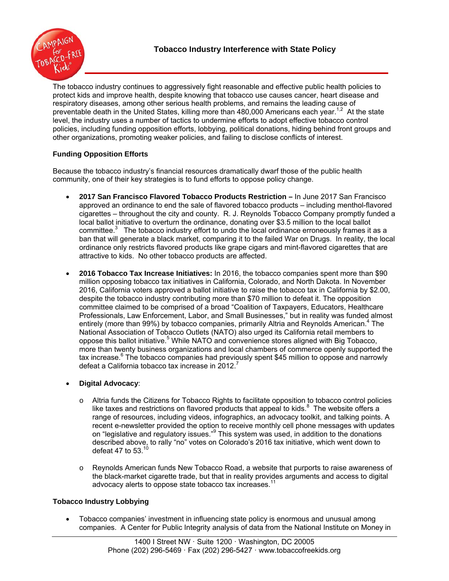

The tobacco industry continues to aggressively fight reasonable and effective public health policies to protect kids and improve health, despite knowing that tobacco use causes cancer, heart disease and respiratory diseases, among other serious health problems, and remains the leading cause of preventable death in the United States, killing more than 480,000 Americans each year.<sup>1,2</sup> At the state level, the industry uses a number of tactics to undermine efforts to adopt effective tobacco control policies, including funding opposition efforts, lobbying, political donations, hiding behind front groups and other organizations, promoting weaker policies, and failing to disclose conflicts of interest.

# **Funding Opposition Efforts**

Because the tobacco industry's financial resources dramatically dwarf those of the public health community, one of their key strategies is to fund efforts to oppose policy change.

- **2017 San Francisco Flavored Tobacco Products Restriction** In June 2017 San Francisco approved an ordinance to end the sale of flavored tobacco products – including menthol-flavored cigarettes – throughout the city and county. R. J. Reynolds Tobacco Company promptly funded a local ballot initiative to overturn the ordinance, donating over \$3.5 million to the local ballot committee. $3$  The tobacco industry effort to undo the local ordinance erroneously frames it as a ban that will generate a black market, comparing it to the failed War on Drugs. In reality, the local ordinance only restricts flavored products like grape cigars and mint-flavored cigarettes that are attractive to kids. No other tobacco products are affected.
- **2016 Tobacco Tax Increase Initiatives:** In 2016, the tobacco companies spent more than \$90 million opposing tobacco tax initiatives in California, Colorado, and North Dakota. In November 2016, California voters approved a ballot initiative to raise the tobacco tax in California by \$2.00, despite the tobacco industry contributing more than \$70 million to defeat it. The opposition committee claimed to be comprised of a broad "Coalition of Taxpayers, Educators, Healthcare Professionals, Law Enforcement, Labor, and Small Businesses," but in reality was funded almost entirely (more than 99%) by tobacco companies, primarily Altria and Reynolds American.<sup>4</sup> The National Association of Tobacco Outlets (NATO) also urged its California retail members to oppose this ballot initiative.<sup>5</sup> While NATO and convenience stores aligned with Big Tobacco, more than twenty business organizations and local chambers of commerce openly supported the tax increase.<sup>6</sup> The tobacco companies had previously spent \$45 million to oppose and narrowly defeat a California tobacco tax increase in  $2012$ .<sup>7</sup>

# **Digital Advocacy**:

- o Altria funds the Citizens for Tobacco Rights to facilitate opposition to tobacco control policies like taxes and restrictions on flavored products that appeal to kids. $8\text{ }$  The website offers a range of resources, including videos, infographics, an advocacy toolkit, and talking points. A recent e-newsletter provided the option to receive monthly cell phone messages with updates on "legislative and regulatory issues."<sup>9</sup> This system was used, in addition to the donations described above, to rally "no" votes on Colorado's 2016 tax initiative, which went down to defeat 47 to 53. $10$
- o Reynolds American funds New Tobacco Road, a website that purports to raise awareness of the black-market cigarette trade, but that in reality provides arguments and access to digital advocacy alerts to oppose state tobacco tax increases.11

## **Tobacco Industry Lobbying**

 Tobacco companies' investment in influencing state policy is enormous and unusual among companies. A Center for Public Integrity analysis of data from the National Institute on Money in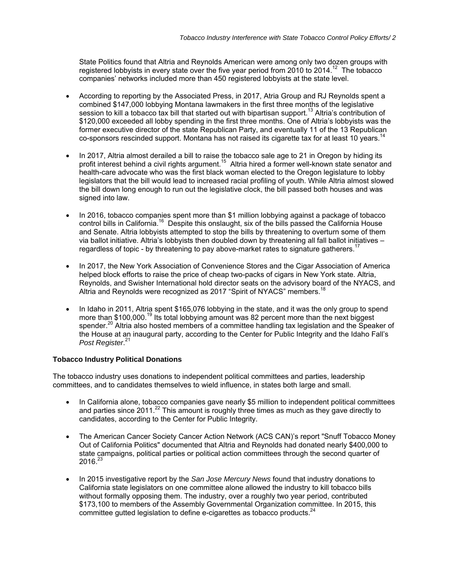State Politics found that Altria and Reynolds American were among only two dozen groups with registered lobbyists in every state over the five year period from 2010 to 2014.<sup>12</sup> The tobacco companies' networks included more than 450 registered lobbyists at the state level.

- According to reporting by the Associated Press, in 2017, Atria Group and RJ Reynolds spent a combined \$147,000 lobbying Montana lawmakers in the first three months of the legislative session to kill a tobacco tax bill that started out with bipartisan support.<sup>13</sup> Altria's contribution of \$120,000 exceeded all lobby spending in the first three months. One of Altria's lobbyists was the former executive director of the state Republican Party, and eventually 11 of the 13 Republican co-sponsors rescinded support. Montana has not raised its cigarette tax for at least 10 years.<sup>14</sup>
- In 2017, Altria almost derailed a bill to raise the tobacco sale age to 21 in Oregon by hiding its profit interest behind a civil rights argument.<sup>15</sup> Altria hired a former well-known state senator and health-care advocate who was the first black woman elected to the Oregon legislature to lobby legislators that the bill would lead to increased racial profiling of youth. While Altria almost slowed the bill down long enough to run out the legislative clock, the bill passed both houses and was signed into law.
- In 2016, tobacco companies spent more than \$1 million lobbying against a package of tobacco control bills in California.<sup>16</sup> Despite this onslaught, six of the bills passed the California House and Senate. Altria lobbyists attempted to stop the bills by threatening to overturn some of them via ballot initiative. Altria's lobbyists then doubled down by threatening all fall ballot initiatives – regardless of topic - by threatening to pay above-market rates to signature gatherers.<sup>1</sup>
- In 2017, the New York Association of Convenience Stores and the Cigar Association of America helped block efforts to raise the price of cheap two-packs of cigars in New York state. Altria, Reynolds, and Swisher International hold director seats on the advisory board of the NYACS, and Altria and Reynolds were recognized as 2017 "Spirit of NYACS" members.<sup>18</sup>
- In Idaho in 2011, Altria spent \$165,076 lobbying in the state, and it was the only group to spend more than \$100,000.<sup>19</sup> Its total lobbying amount was 82 percent more than the next biggest spender.<sup>20</sup> Altria also hosted members of a committee handling tax legislation and the Speaker of the House at an inaugural party, according to the Center for Public Integrity and the Idaho Fall's *Post Register*. 21

## **Tobacco Industry Political Donations**

The tobacco industry uses donations to independent political committees and parties, leadership committees, and to candidates themselves to wield influence, in states both large and small.

- In California alone, tobacco companies gave nearly \$5 million to independent political committees and parties since 2011.<sup>22</sup> This amount is roughly three times as much as they gave directly to candidates, according to the Center for Public Integrity.
- The American Cancer Society Cancer Action Network (ACS CAN)'s report "Snuff Tobacco Money Out of California Politics" documented that Altria and Reynolds had donated nearly \$400,000 to state campaigns, political parties or political action committees through the second quarter of  $2016.<sup>23</sup>$
- In 2015 investigative report by the *San Jose Mercury News* found that industry donations to California state legislators on one committee alone allowed the industry to kill tobacco bills without formally opposing them. The industry, over a roughly two year period, contributed \$173,100 to members of the Assembly Governmental Organization committee. In 2015, this committee gutted legislation to define e-cigarettes as tobacco products.<sup>24</sup>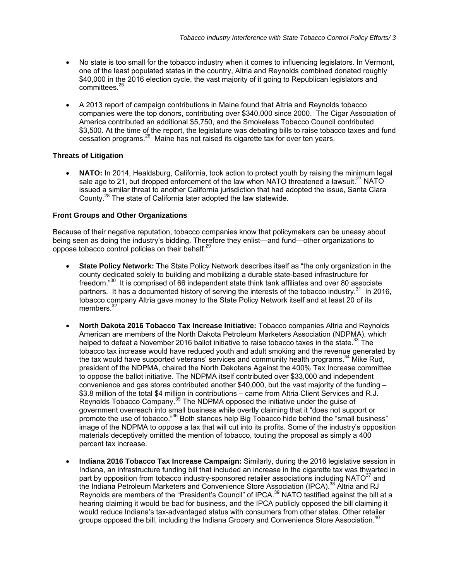- No state is too small for the tobacco industry when it comes to influencing legislators. In Vermont, one of the least populated states in the country, Altria and Reynolds combined donated roughly \$40,000 in the 2016 election cycle, the vast majority of it going to Republican legislators and committees.<sup>2</sup>
- A 2013 report of campaign contributions in Maine found that Altria and Reynolds tobacco companies were the top donors, contributing over \$340,000 since 2000. The Cigar Association of America contributed an additional \$5,750, and the Smokeless Tobacco Council contributed \$3,500. At the time of the report, the legislature was debating bills to raise tobacco taxes and fund cessation programs.26 Maine has not raised its cigarette tax for over ten years.

### **Threats of Litigation**

 **NATO:** In 2014, Healdsburg, California, took action to protect youth by raising the minimum legal sale age to 21, but dropped enforcement of the law when NATO threatened a lawsuit.<sup>27</sup> NATO issued a similar threat to another California jurisdiction that had adopted the issue, Santa Clara County.28 The state of California later adopted the law statewide.

### **Front Groups and Other Organizations**

Because of their negative reputation, tobacco companies know that policymakers can be uneasy about being seen as doing the industry's bidding. Therefore they enlist—and fund—other organizations to oppose tobacco control policies on their behalf.<sup>29</sup>

- **State Policy Network:** The State Policy Network describes itself as "the only organization in the county dedicated solely to building and mobilizing a durable state-based infrastructure for freedom."<sup>30</sup> It is comprised of 66 independent state think tank affiliates and over 80 associate partners. It has a documented history of serving the interests of the tobacco industry.<sup>31</sup> In 2016, tobacco company Altria gave money to the State Policy Network itself and at least 20 of its members.<sup>32</sup>
- **North Dakota 2016 Tobacco Tax Increase Initiative:** Tobacco companies Altria and Reynolds American are members of the North Dakota Petroleum Marketers Association (NDPMA), which helped to defeat a November 2016 ballot initiative to raise tobacco taxes in the state.<sup>33</sup> The tobacco tax increase would have reduced youth and adult smoking and the revenue generated by the tax would have supported veterans' services and community health programs.<sup>34</sup> Mike Rud, president of the NDPMA, chaired the North Dakotans Against the 400% Tax Increase committee to oppose the ballot initiative. The NDPMA itself contributed over \$33,000 and independent convenience and gas stores contributed another  $$40,000$ , but the vast majority of the funding  $-$ \$3.8 million of the total \$4 million in contributions – came from Altria Client Services and R.J. Reynolds Tobacco Company.<sup>35</sup> The NDPMA opposed the initiative under the guise of government overreach into small business while overtly claiming that it "does not support or promote the use of tobacco."<sup>36</sup> Both stances help Big Tobacco hide behind the "small business" image of the NDPMA to oppose a tax that will cut into its profits. Some of the industry's opposition materials deceptively omitted the mention of tobacco, touting the proposal as simply a 400 percent tax increase.
- **Indiana 2016 Tobacco Tax Increase Campaign:** Similarly, during the 2016 legislative session in Indiana, an infrastructure funding bill that included an increase in the cigarette tax was thwarted in part by opposition from tobacco industry-sponsored retailer associations including NATO $37$  and the Indiana Petroleum Marketers and Convenience Store Association (IPCA).<sup>38</sup> Altria and RJ Reynolds are members of the "President's Council" of IPCA.<sup>39</sup> NATO testified against the bill at a hearing claiming it would be bad for business, and the IPCA publicly opposed the bill claiming it would reduce Indiana's tax-advantaged status with consumers from other states. Other retailer groups opposed the bill, including the Indiana Grocery and Convenience Store Association.<sup>40</sup>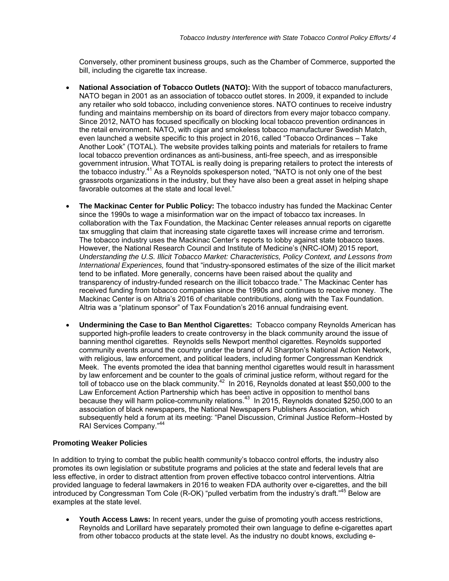Conversely, other prominent business groups, such as the Chamber of Commerce, supported the bill, including the cigarette tax increase.

- **National Association of Tobacco Outlets (NATO):** With the support of tobacco manufacturers, NATO began in 2001 as an association of tobacco outlet stores. In 2009, it expanded to include any retailer who sold tobacco, including convenience stores. NATO continues to receive industry funding and maintains membership on its board of directors from every major tobacco company. Since 2012, NATO has focused specifically on blocking local tobacco prevention ordinances in the retail environment. NATO, with cigar and smokeless tobacco manufacturer Swedish Match, even launched a website specific to this project in 2016, called "Tobacco Ordinances – Take Another Look" (TOTAL). The website provides talking points and materials for retailers to frame local tobacco prevention ordinances as anti-business, anti-free speech, and as irresponsible government intrusion. What TOTAL is really doing is preparing retailers to protect the interests of the tobacco industry.<sup>41</sup> As a Reynolds spokesperson noted, "NATO is not only one of the best grassroots organizations in the industry, but they have also been a great asset in helping shape favorable outcomes at the state and local level."
- **The Mackinac Center for Public Policy:** The tobacco industry has funded the Mackinac Center since the 1990s to wage a misinformation war on the impact of tobacco tax increases. In collaboration with the Tax Foundation, the Mackinac Center releases annual reports on cigarette tax smuggling that claim that increasing state cigarette taxes will increase crime and terrorism. The tobacco industry uses the Mackinac Center's reports to lobby against state tobacco taxes. However, the National Research Council and Institute of Medicine's (NRC-IOM) 2015 report, *Understanding the U.S. Illicit Tobacco Market: Characteristics, Policy Context, and Lessons from International Experiences,* found that "industry-sponsored estimates of the size of the illicit market tend to be inflated. More generally, concerns have been raised about the quality and transparency of industry-funded research on the illicit tobacco trade." The Mackinac Center has received funding from tobacco companies since the 1990s and continues to receive money. The Mackinac Center is on Altria's 2016 of charitable contributions, along with the Tax Foundation. Altria was a "platinum sponsor" of Tax Foundation's 2016 annual fundraising event.
- **Undermining the Case to Ban Menthol Cigarettes:** Tobacco company Reynolds American has supported high-profile leaders to create controversy in the black community around the issue of banning menthol cigarettes. Reynolds sells Newport menthol cigarettes. Reynolds supported community events around the country under the brand of Al Sharpton's National Action Network, with religious, law enforcement, and political leaders, including former Congressman Kendrick Meek. The events promoted the idea that banning menthol cigarettes would result in harassment by law enforcement and be counter to the goals of criminal justice reform, without regard for the toll of tobacco use on the black community.<sup>42</sup> In 2016, Reynolds donated at least \$50,000 to the Law Enforcement Action Partnership which has been active in opposition to menthol bans because they will harm police-community relations.<sup>43</sup> In 2015, Reynolds donated \$250,000 to an association of black newspapers, the National Newspapers Publishers Association, which subsequently held a forum at its meeting: "Panel Discussion, Criminal Justice Reform–Hosted by RAI Services Company."44

#### **Promoting Weaker Policies**

In addition to trying to combat the public health community's tobacco control efforts, the industry also promotes its own legislation or substitute programs and policies at the state and federal levels that are less effective, in order to distract attention from proven effective tobacco control interventions. Altria provided language to federal lawmakers in 2016 to weaken FDA authority over e-cigarettes, and the bill introduced by Congressman Tom Cole (R-OK) "pulled verbatim from the industry's draft."<sup>45</sup> Below are examples at the state level.

 **Youth Access Laws:** In recent years, under the guise of promoting youth access restrictions, Reynolds and Lorillard have separately promoted their own language to define e-cigarettes apart from other tobacco products at the state level. As the industry no doubt knows, excluding e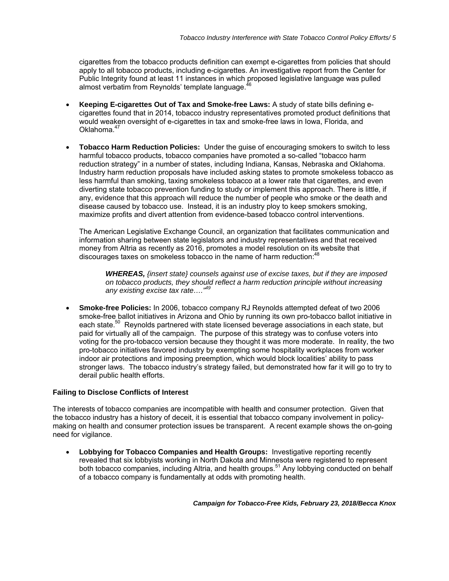cigarettes from the tobacco products definition can exempt e-cigarettes from policies that should apply to all tobacco products, including e-cigarettes. An investigative report from the Center for Public Integrity found at least 11 instances in which proposed legislative language was pulled almost verbatim from Reynolds' template language.

- **Keeping E-cigarettes Out of Tax and Smoke-free Laws:** A study of state bills defining ecigarettes found that in 2014, tobacco industry representatives promoted product definitions that would weaken oversight of e-cigarettes in tax and smoke-free laws in Iowa, Florida, and Oklahoma.<sup>47</sup>
- **Tobacco Harm Reduction Policies:** Under the guise of encouraging smokers to switch to less harmful tobacco products, tobacco companies have promoted a so-called "tobacco harm reduction strategy" in a number of states, including Indiana, Kansas, Nebraska and Oklahoma. Industry harm reduction proposals have included asking states to promote smokeless tobacco as less harmful than smoking, taxing smokeless tobacco at a lower rate that cigarettes, and even diverting state tobacco prevention funding to study or implement this approach. There is little, if any, evidence that this approach will reduce the number of people who smoke or the death and disease caused by tobacco use. Instead, it is an industry ploy to keep smokers smoking, maximize profits and divert attention from evidence-based tobacco control interventions.

The American Legislative Exchange Council, an organization that facilitates communication and information sharing between state legislators and industry representatives and that received money from Altria as recently as 2016, promotes a model resolution on its website that discourages taxes on smokeless tobacco in the name of harm reduction:<sup>48</sup>

*WHEREAS, {insert state} counsels against use of excise taxes, but if they are imposed on tobacco products, they should reflect a harm reduction principle without increasing any existing excise tax rate…."49* 

 **Smoke-free Policies:** In 2006, tobacco company RJ Reynolds attempted defeat of two 2006 smoke-free ballot initiatives in Arizona and Ohio by running its own pro-tobacco ballot initiative in each state.<sup>50</sup> Reynolds partnered with state licensed beverage associations in each state, but paid for virtually all of the campaign. The purpose of this strategy was to confuse voters into voting for the pro-tobacco version because they thought it was more moderate. In reality, the two pro-tobacco initiatives favored industry by exempting some hospitality workplaces from worker indoor air protections and imposing preemption, which would block localities' ability to pass stronger laws. The tobacco industry's strategy failed, but demonstrated how far it will go to try to derail public health efforts.

#### **Failing to Disclose Conflicts of Interest**

The interests of tobacco companies are incompatible with health and consumer protection. Given that the tobacco industry has a history of deceit, it is essential that tobacco company involvement in policymaking on health and consumer protection issues be transparent. A recent example shows the on-going need for vigilance.

 **Lobbying for Tobacco Companies and Health Groups:** Investigative reporting recently revealed that six lobbyists working in North Dakota and Minnesota were registered to represent both tobacco companies, including Altria, and health groups.<sup>51</sup> Any lobbying conducted on behalf of a tobacco company is fundamentally at odds with promoting health.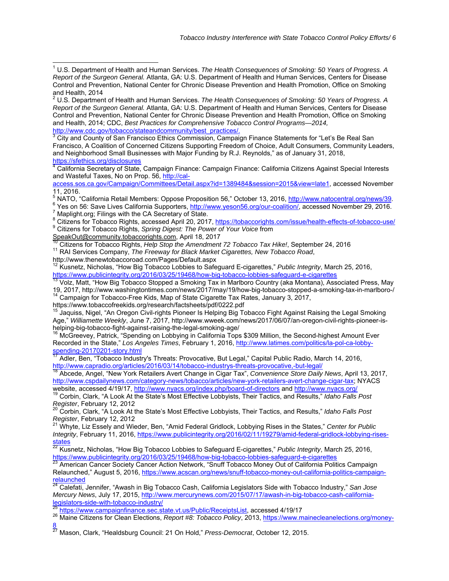http://www.cdc.gov/tobacco/stateandcommunity/best\_practices/.<br>3 City and County of San Francisco Ethics Commission, Compai City and County of San Francisco Ethics Commission, Campaign Finance Statements for "Let's Be Real San Francisco, A Coalition of Concerned Citizens Supporting Freedom of Choice, Adult Consumers, Community Leaders, and Neighborhood Small Businesses with Major Funding by R.J. Reynolds," as of January 31, 2018,

<u>https://sfethics.org/disclosures</u><br><sup>4</sup> California Secretary of State, Campaign Finance: Campaign Finance: California Citizens Against Special Interests and Wasteful Taxes, No on Prop. 56, http://cal-

access.sos.ca.gov/Campaign/Committees/Detail.aspx?id=1389484&session=2015&view=late1, accessed November 11, 2016.

<sup>5</sup> NATO, "California Retail Members: Oppose Proposition 56," October 13, 2016, http://www.natocentral.org/news/39.<br><sup>6</sup> Yos an 56: Save Lives California Supportare, http://www.yosop56.org/our.org/liting/\_assessed November

<sup>6</sup> Yes on 56: Save Lives California Supporters, http://www.yeson56.org/our-coalition/, accessed November 29, 2016.  $7$  Maplight.org; Filings with the CA Secretary of State.

<sup>8</sup> Citizens for Tobacco Rights, accessed April 20, 2017, https://tobaccorights.com/issue/health-effects-of-tobacco-use/<br><sup>9</sup> Citizens for Tobacco Rights, Spring Discoty The Rower of Veur Veige from <sup>9</sup> Citizens for Tobacco Rights, *Spring Digest: The Power of Your Voice* from

SpeakOut@community.tobaccorights.com, April 18, 2017

<sup>10</sup> Citizens for Tobacco Rights, *Help Stop the Amendment 72 Tobacco Tax Hike!*, September 24, 2016<br><sup>11</sup> RAI Services Company, *The Freeway for Black Market Cigarettes, New Tobacco Road,* 

http://www.thenewtobaccoroad.com/Pages/Default.aspx

12 Kusnetz, Nicholas, "How Big Tobacco Lobbies to Safeguard E-cigarettes," *Public Integrity*, March 25, 2016, https://www.publicintegrity.org/2016/03/25/19468/how-big-tobacco-lobbies-safeguard-e-cigarettes 13 Volz, Matt, "How Big Tobacco Stopped a Smoking Tax in Marlboro Country (aka Montana), Associated Press, May 13

19, 2017, http://www.washingtontimes.com/news/2017/may/19/how-big-tobacco-stopped-a-smoking-tax-in-marlboro-/<br><sup>14</sup> Campaign for Tobacco-Free Kids, Map of State Cigarette Tax Rates, January 3, 2017,<br>https://www.tobaccofreek

<sup>15</sup> Jaquiss, Nigel, "An Oregon Civil-rights Pioneer Is Helping Big Tobacco Fight Against Raising the Legal Smoking Age," *Williamette Weekly*, June 7, 2017, http://www.wweek.com/news/2017/06/07/an-oregon-civil-rights-pioneer-ishelping-big-tobacco-fight-against-raising-the-legal-smoking-age/<br><sup>16</sup> McGreevey, Patrick, "Spending on Lobbying in California Tops \$309 Million, the Second-highest Amount Ever

Recorded in the State," *Los Angeles Times*, February 1, 2016, http://www.latimes.com/politics/la-pol-ca-lobbyspending-20170201-story.html

17 Adler, Ben, "Tobacco Industry's Threats: Provocative, But Legal," Capital Public Radio, March 14, 2016,

http://www.capradio.org/articles/2016/03/14/tobacco-industrys-threats-provocative,-but-legal/ 18 Abcede, Angel, "New York Retailers Avert Change in Cigar Tax", *Convenience Store Daily News*, April 13, 2017, http://www.cspdailynews.com/category-news/tobacco/articles/new-york-retailers-avert-change-cigar-tax; NYACS<br>website, accessed 4/19/17, http://www.nyacs.org/index.php/board-of-directors and http://www.nyacs.org/

<sup>19</sup> Corbin, Clark, "A Look At the State's Most Effective Lobbyists, Their Tactics, and Results," *Idaho Falls Post Register*, February 12, 2012<br><sup>20</sup> Corbin, Clark, "A Look At the State's Most Effective Lobbyists, Their Tactics, and Results," *Idaho Falls Post* 

*Register*, February 12, 2012<br><sup>21</sup> Whyte, Liz Essely and Wieder, Ben, "Amid Federal Gridlock, Lobbying Rises in the States," *Center for Public Integrity*, February 11, 2016, https://www.publicintegrity.org/2016/02/11/19279/amid-federal-gridlock-lobbying-risesstates

22 Kusnetz, Nicholas, "How Big Tobacco Lobbies to Safeguard E-cigarettes," *Public Integrity*, March 25, 2016,

https://www.publicintegrity.org/2016/03/25/19468/how-big-tobacco-lobbies-safeguard-e-cigarettes 23 American Cancer Society Cancer Action Network, "Snuff Tobacco Money Out of California Politics Campaign Relaunched," August 5, 2016, https://www.acscan.org/news/snuff-tobacco-money-out-california-politics-campaignrelaunched

24 Calefati, Jennifer, "Awash in Big Tobacco Cash, California Legislators Side with Tobacco Industry," *San Jose Mercury News*, July 17, 2015, http://www.mercurynews.com/2015/07/17/awash-in-big-tobacco-cash-californialegislators-side-with-tobacco-industry/

<sup>25</sup> https://www.campaignfinance.sec.state.vt.us/Public/ReceiptsList, accessed 4/19/17<br><sup>26</sup> Maine Citizens for Clean Elections, *Report #8: Tobacco Policy*, 2013, <u>https://www.mainecleanelections.org/money-</u> 8

27 Mason, Clark, "Healdsburg Council: 21 On Hold," *Press-Democrat*, October 12, 2015.

 1 U.S. Department of Health and Human Services. *The Health Consequences of Smoking: 50 Years of Progress. A Report of the Surgeon General.* Atlanta, GA: U.S. Department of Health and Human Services, Centers for Disease Control and Prevention, National Center for Chronic Disease Prevention and Health Promotion, Office on Smoking and Health, 2014<br><sup>2</sup> LLC, Denartman

U.S. Department of Health and Human Services. *The Health Consequences of Smoking: 50 Years of Progress. A Report of the Surgeon General.* Atlanta, GA: U.S. Department of Health and Human Services, Centers for Disease Control and Prevention, National Center for Chronic Disease Prevention and Health Promotion, Office on Smoking and Health, 2014; CDC, *Best Practices for Comprehensive Tobacco Control Programs—2014,*